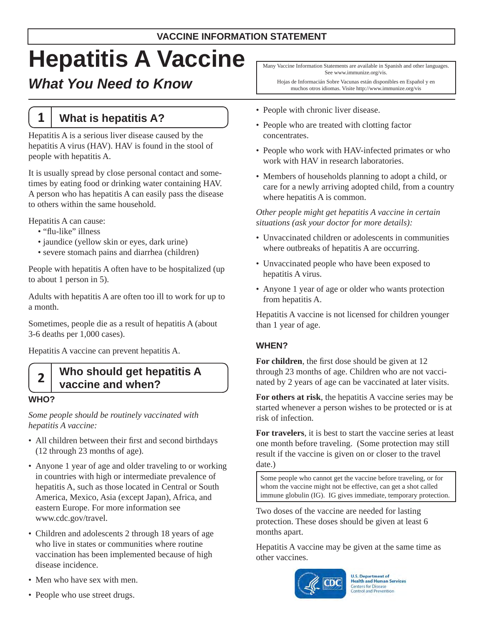# **Hepatitis A Vaccine**

# *What You Need to Know*

# **1 What is hepatitis A?**

Hepatitis A is a serious liver disease caused by the hepatitis A virus (HAV). HAV is found in the stool of people with hepatitis A.

It is usually spread by close personal contact and sometimes by eating food or drinking water containing HAV. A person who has hepatitis A can easily pass the disease to others within the same household.

Hepatitis A can cause:

- "flu-like" illness
- jaundice (yellow skin or eyes, dark urine)
- severe stomach pains and diarrhea (children)

People with hepatitis A often have to be hospitalized (up to about 1 person in 5).

Adults with hepatitis A are often too ill to work for up to a month.

Sometimes, people die as a result of hepatitis A (about 3-6 deaths per 1,000 cases).

Hepatitis A vaccine can prevent hepatitis A.

## **2 Who should get hepatitis A vaccine and when?**

#### **WHO?**

*Some people should be routinely vaccinated with hepatitis A vaccine:* 

- All children between their first and second birthdays (12 through 23 months of age).
- Anyone 1 year of age and older traveling to or working in countries with high or intermediate prevalence of hepatitis A, such as those located in Central or South America, Mexico, Asia (except Japan), Africa, and eastern Europe. For more information see www.cdc.gov/travel.
- Children and adolescents 2 through 18 years of age who live in states or communities where routine vaccination has been implemented because of high disease incidence.
- Men who have sex with men.
- People who use street drugs.

Many Vaccine Information Statements are available in Spanish and other languages. See www.immunize.org/vis.

Hojas de Informacián Sobre Vacunas están disponibles en Español y en muchos otros idiomas. Visite http://www.immunize.org/vis

- People with chronic liver disease.
- People who are treated with clotting factor concentrates.
- People who work with HAV-infected primates or who work with HAV in research laboratories.
- Members of households planning to adopt a child, or care for a newly arriving adopted child, from a country where hepatitis A is common.

#### *Other people might get hepatitis A vaccine in certain situations (ask your doctor for more details):*

- Unvaccinated children or adolescents in communities where outbreaks of hepatitis A are occurring.
- Unvaccinated people who have been exposed to hepatitis A virus.
- Anyone 1 year of age or older who wants protection from hepatitis A.

Hepatitis A vaccine is not licensed for children younger than 1 year of age.

## **WHEN?**

**For children**, the first dose should be given at 12 through 23 months of age. Children who are not vaccinated by 2 years of age can be vaccinated at later visits.

**For others at risk**, the hepatitis A vaccine series may be started whenever a person wishes to be protected or is at risk of infection.

**For travelers**, it is best to start the vaccine series at least one month before traveling. (Some protection may still result if the vaccine is given on or closer to the travel date.)

Some people who cannot get the vaccine before traveling, or for whom the vaccine might not be effective, can get a shot called immune globulin (IG). IG gives immediate, temporary protection.

Two doses of the vaccine are needed for lasting protection. These doses should be given at least 6 months apart.

Hepatitis A vaccine may be given at the same time as other vaccines.



**U.S. Department of Health and Human Services** Centers for Disease<br>Control and Prevention